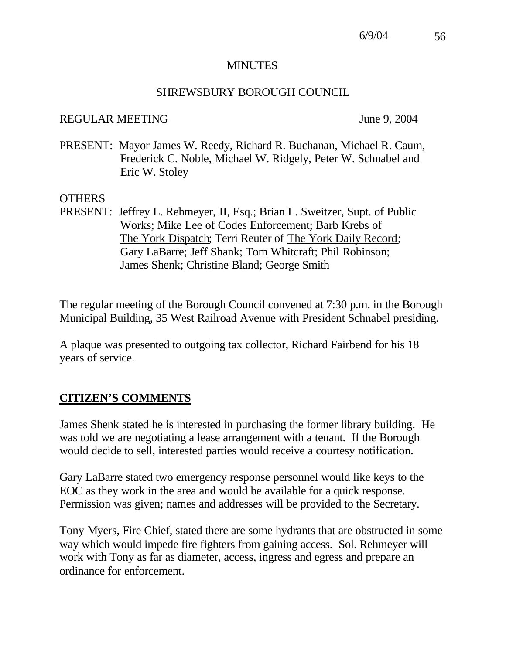#### MINUTES

#### SHREWSBURY BOROUGH COUNCIL

#### REGULAR MEETING June 9, 2004

PRESENT: Mayor James W. Reedy, Richard R. Buchanan, Michael R. Caum, Frederick C. Noble, Michael W. Ridgely, Peter W. Schnabel and Eric W. Stoley

#### OTHERS

PRESENT: Jeffrey L. Rehmeyer, II, Esq.; Brian L. Sweitzer, Supt. of Public Works; Mike Lee of Codes Enforcement; Barb Krebs of The York Dispatch; Terri Reuter of The York Daily Record; Gary LaBarre; Jeff Shank; Tom Whitcraft; Phil Robinson; James Shenk; Christine Bland; George Smith

The regular meeting of the Borough Council convened at 7:30 p.m. in the Borough Municipal Building, 35 West Railroad Avenue with President Schnabel presiding.

A plaque was presented to outgoing tax collector, Richard Fairbend for his 18 years of service.

## **CITIZEN'S COMMENTS**

James Shenk stated he is interested in purchasing the former library building. He was told we are negotiating a lease arrangement with a tenant. If the Borough would decide to sell, interested parties would receive a courtesy notification.

Gary LaBarre stated two emergency response personnel would like keys to the EOC as they work in the area and would be available for a quick response. Permission was given; names and addresses will be provided to the Secretary.

Tony Myers, Fire Chief, stated there are some hydrants that are obstructed in some way which would impede fire fighters from gaining access. Sol. Rehmeyer will work with Tony as far as diameter, access, ingress and egress and prepare an ordinance for enforcement.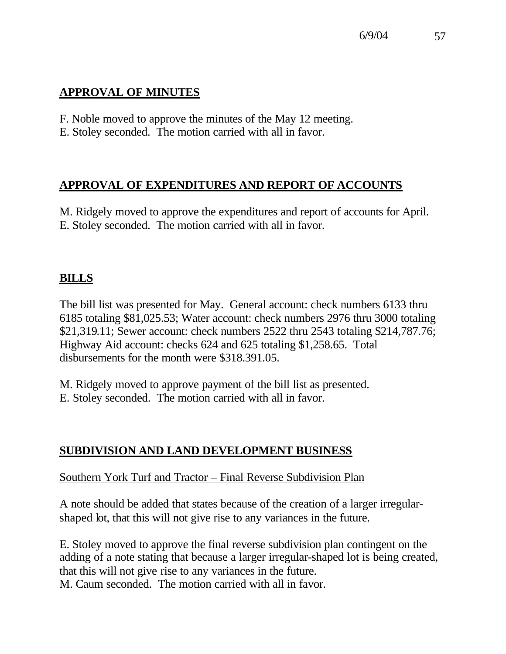# **APPROVAL OF MINUTES**

- F. Noble moved to approve the minutes of the May 12 meeting.
- E. Stoley seconded. The motion carried with all in favor.

# **APPROVAL OF EXPENDITURES AND REPORT OF ACCOUNTS**

M. Ridgely moved to approve the expenditures and report of accounts for April. E. Stoley seconded. The motion carried with all in favor.

# **BILLS**

The bill list was presented for May. General account: check numbers 6133 thru 6185 totaling \$81,025.53; Water account: check numbers 2976 thru 3000 totaling \$21,319.11; Sewer account: check numbers 2522 thru 2543 totaling \$214,787.76; Highway Aid account: checks 624 and 625 totaling \$1,258.65. Total disbursements for the month were \$318.391.05.

M. Ridgely moved to approve payment of the bill list as presented. E. Stoley seconded. The motion carried with all in favor.

# **SUBDIVISION AND LAND DEVELOPMENT BUSINESS**

## Southern York Turf and Tractor – Final Reverse Subdivision Plan

A note should be added that states because of the creation of a larger irregularshaped lot, that this will not give rise to any variances in the future.

E. Stoley moved to approve the final reverse subdivision plan contingent on the adding of a note stating that because a larger irregular-shaped lot is being created, that this will not give rise to any variances in the future. M. Caum seconded. The motion carried with all in favor.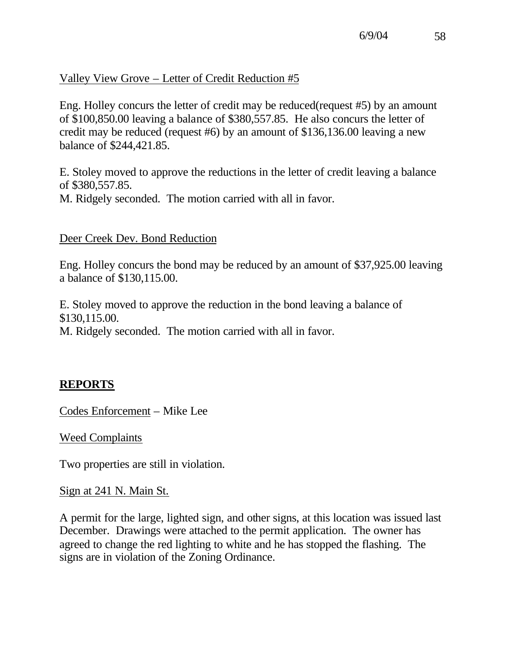## Valley View Grove – Letter of Credit Reduction #5

Eng. Holley concurs the letter of credit may be reduced(request #5) by an amount of \$100,850.00 leaving a balance of \$380,557.85. He also concurs the letter of credit may be reduced (request #6) by an amount of \$136,136.00 leaving a new balance of \$244,421.85.

E. Stoley moved to approve the reductions in the letter of credit leaving a balance of \$380,557.85. M. Ridgely seconded. The motion carried with all in favor.

#### Deer Creek Dev. Bond Reduction

Eng. Holley concurs the bond may be reduced by an amount of \$37,925.00 leaving a balance of \$130,115.00.

E. Stoley moved to approve the reduction in the bond leaving a balance of \$130,115.00.

M. Ridgely seconded. The motion carried with all in favor.

## **REPORTS**

Codes Enforcement – Mike Lee

Weed Complaints

Two properties are still in violation.

Sign at 241 N. Main St.

A permit for the large, lighted sign, and other signs, at this location was issued last December. Drawings were attached to the permit application. The owner has agreed to change the red lighting to white and he has stopped the flashing. The signs are in violation of the Zoning Ordinance.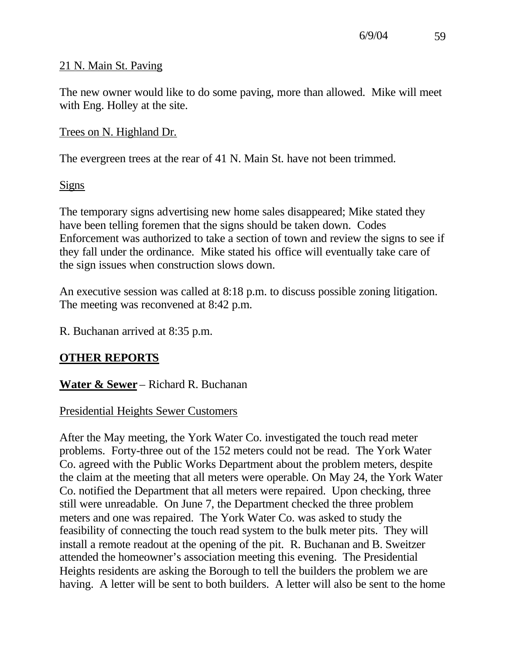#### 21 N. Main St. Paving

The new owner would like to do some paving, more than allowed. Mike will meet with Eng. Holley at the site.

#### Trees on N. Highland Dr.

The evergreen trees at the rear of 41 N. Main St. have not been trimmed.

#### Signs

The temporary signs advertising new home sales disappeared; Mike stated they have been telling foremen that the signs should be taken down. Codes Enforcement was authorized to take a section of town and review the signs to see if they fall under the ordinance. Mike stated his office will eventually take care of the sign issues when construction slows down.

An executive session was called at 8:18 p.m. to discuss possible zoning litigation. The meeting was reconvened at 8:42 p.m.

R. Buchanan arrived at 8:35 p.m.

## **OTHER REPORTS**

## **Water & Sewer** – Richard R. Buchanan

#### Presidential Heights Sewer Customers

After the May meeting, the York Water Co. investigated the touch read meter problems. Forty-three out of the 152 meters could not be read. The York Water Co. agreed with the Public Works Department about the problem meters, despite the claim at the meeting that all meters were operable. On May 24, the York Water Co. notified the Department that all meters were repaired. Upon checking, three still were unreadable. On June 7, the Department checked the three problem meters and one was repaired. The York Water Co. was asked to study the feasibility of connecting the touch read system to the bulk meter pits. They will install a remote readout at the opening of the pit. R. Buchanan and B. Sweitzer attended the homeowner's association meeting this evening. The Presidential Heights residents are asking the Borough to tell the builders the problem we are having. A letter will be sent to both builders. A letter will also be sent to the home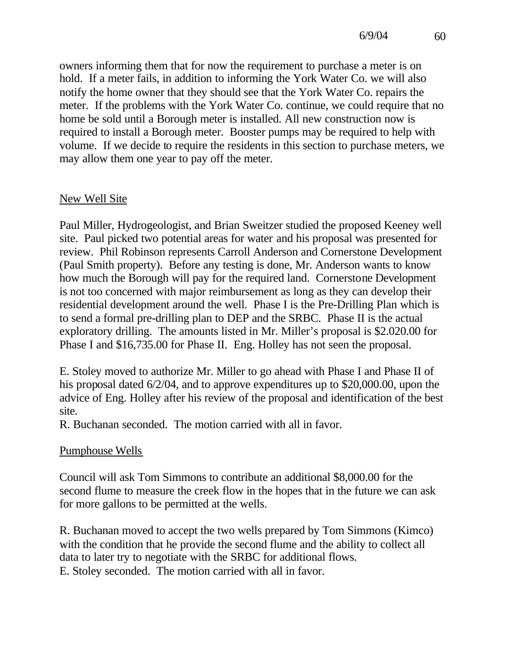owners informing them that for now the requirement to purchase a meter is on hold. If a meter fails, in addition to informing the York Water Co. we will also notify the home owner that they should see that the York Water Co. repairs the meter. If the problems with the York Water Co. continue, we could require that no home be sold until a Borough meter is installed. All new construction now is required to install a Borough meter. Booster pumps may be required to help with volume. If we decide to require the residents in this section to purchase meters, we may allow them one year to pay off the meter.

## New Well Site

Paul Miller, Hydrogeologist, and Brian Sweitzer studied the proposed Keeney well site. Paul picked two potential areas for water and his proposal was presented for review. Phil Robinson represents Carroll Anderson and Cornerstone Development (Paul Smith property). Before any testing is done, Mr. Anderson wants to know how much the Borough will pay for the required land. Cornerstone Development is not too concerned with major reimbursement as long as they can develop their residential development around the well. Phase I is the Pre-Drilling Plan which is to send a formal pre-drilling plan to DEP and the SRBC. Phase II is the actual exploratory drilling. The amounts listed in Mr. Miller's proposal is \$2.020.00 for Phase I and \$16,735.00 for Phase II. Eng. Holley has not seen the proposal.

E. Stoley moved to authorize Mr. Miller to go ahead with Phase I and Phase II of his proposal dated 6/2/04, and to approve expenditures up to \$20,000.00, upon the advice of Eng. Holley after his review of the proposal and identification of the best site.

R. Buchanan seconded. The motion carried with all in favor.

## Pumphouse Wells

Council will ask Tom Simmons to contribute an additional \$8,000.00 for the second flume to measure the creek flow in the hopes that in the future we can ask for more gallons to be permitted at the wells.

R. Buchanan moved to accept the two wells prepared by Tom Simmons (Kimco) with the condition that he provide the second flume and the ability to collect all data to later try to negotiate with the SRBC for additional flows. E. Stoley seconded. The motion carried with all in favor.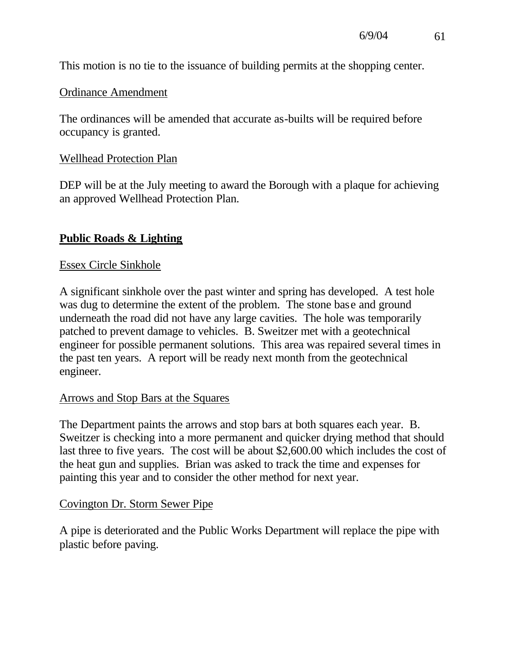This motion is no tie to the issuance of building permits at the shopping center.

## Ordinance Amendment

The ordinances will be amended that accurate as-builts will be required before occupancy is granted.

## Wellhead Protection Plan

DEP will be at the July meeting to award the Borough with a plaque for achieving an approved Wellhead Protection Plan.

## **Public Roads & Lighting**

## Essex Circle Sinkhole

A significant sinkhole over the past winter and spring has developed. A test hole was dug to determine the extent of the problem. The stone base and ground underneath the road did not have any large cavities. The hole was temporarily patched to prevent damage to vehicles. B. Sweitzer met with a geotechnical engineer for possible permanent solutions. This area was repaired several times in the past ten years. A report will be ready next month from the geotechnical engineer.

## Arrows and Stop Bars at the Squares

The Department paints the arrows and stop bars at both squares each year. B. Sweitzer is checking into a more permanent and quicker drying method that should last three to five years. The cost will be about \$2,600.00 which includes the cost of the heat gun and supplies. Brian was asked to track the time and expenses for painting this year and to consider the other method for next year.

## Covington Dr. Storm Sewer Pipe

A pipe is deteriorated and the Public Works Department will replace the pipe with plastic before paving.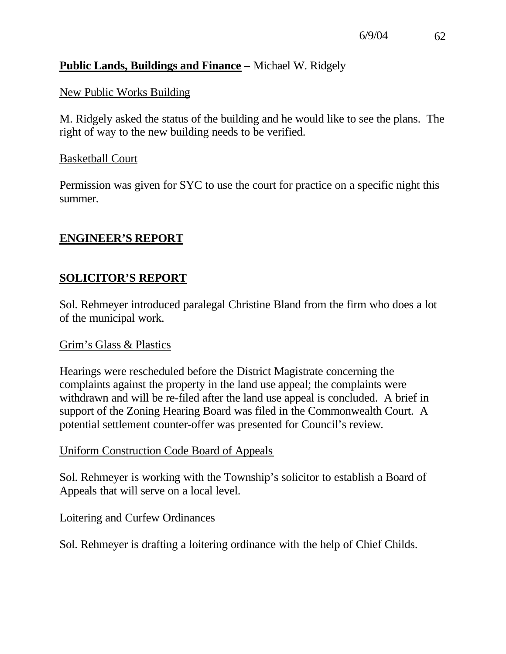## **Public Lands, Buildings and Finance** – Michael W. Ridgely

#### New Public Works Building

M. Ridgely asked the status of the building and he would like to see the plans. The right of way to the new building needs to be verified.

#### Basketball Court

Permission was given for SYC to use the court for practice on a specific night this summer.

#### **ENGINEER'S REPORT**

#### **SOLICITOR'S REPORT**

Sol. Rehmeyer introduced paralegal Christine Bland from the firm who does a lot of the municipal work.

#### Grim's Glass & Plastics

Hearings were rescheduled before the District Magistrate concerning the complaints against the property in the land use appeal; the complaints were withdrawn and will be re-filed after the land use appeal is concluded. A brief in support of the Zoning Hearing Board was filed in the Commonwealth Court. A potential settlement counter-offer was presented for Council's review.

#### Uniform Construction Code Board of Appeals

Sol. Rehmeyer is working with the Township's solicitor to establish a Board of Appeals that will serve on a local level.

#### Loitering and Curfew Ordinances

Sol. Rehmeyer is drafting a loitering ordinance with the help of Chief Childs.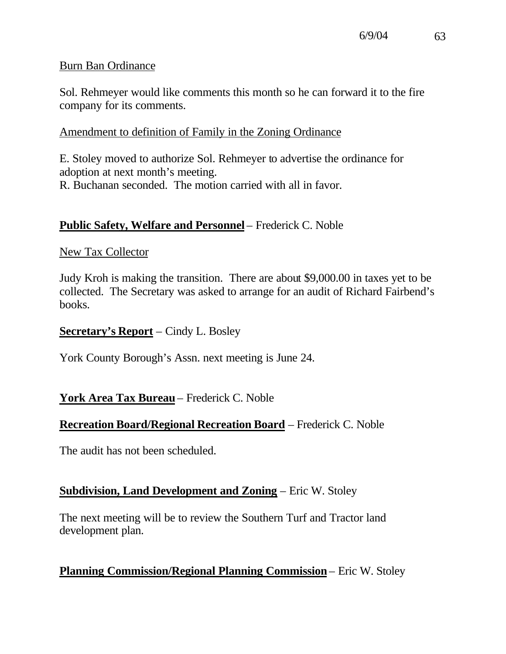#### Burn Ban Ordinance

Sol. Rehmeyer would like comments this month so he can forward it to the fire company for its comments.

## Amendment to definition of Family in the Zoning Ordinance

E. Stoley moved to authorize Sol. Rehmeyer to advertise the ordinance for adoption at next month's meeting. R. Buchanan seconded. The motion carried with all in favor.

## **Public Safety, Welfare and Personnel** – Frederick C. Noble

#### New Tax Collector

Judy Kroh is making the transition. There are about \$9,000.00 in taxes yet to be collected. The Secretary was asked to arrange for an audit of Richard Fairbend's books.

#### **Secretary's Report** – Cindy L. Bosley

York County Borough's Assn. next meeting is June 24.

## **York Area Tax Bureau** – Frederick C. Noble

## **Recreation Board/Regional Recreation Board** – Frederick C. Noble

The audit has not been scheduled.

## **Subdivision, Land Development and Zoning** – Eric W. Stoley

The next meeting will be to review the Southern Turf and Tractor land development plan.

## **Planning Commission/Regional Planning Commission** – Eric W. Stoley